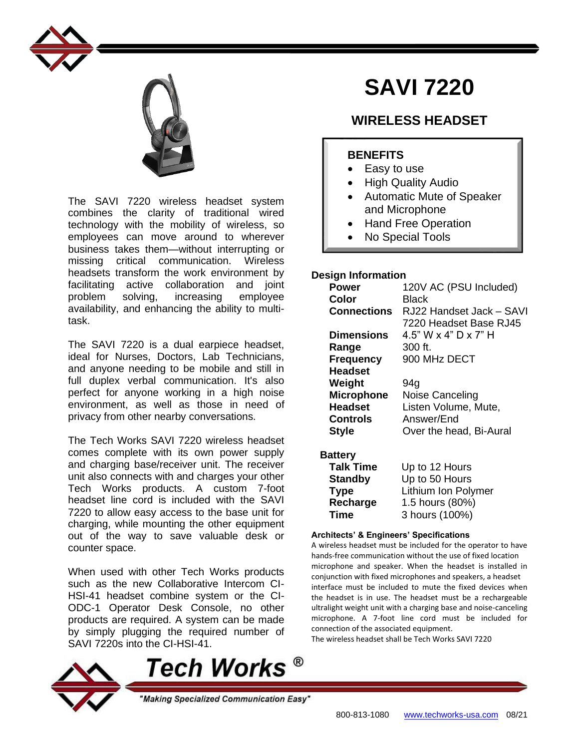



The SAVI 7220 wireless headset system combines the clarity of traditional wired technology with the mobility of wireless, so employees can move around to wherever business takes them—without interrupting or missing critical communication. Wireless headsets transform the work environment by facilitating active collaboration and joint problem solving, increasing employee availability, and enhancing the ability to multitask.

The SAVI 7220 is a dual earpiece headset, ideal for Nurses, Doctors, Lab Technicians, and anyone needing to be mobile and still in full duplex verbal communication. It's also perfect for anyone working in a high noise environment, as well as those in need of privacy from other nearby conversations.

The Tech Works SAVI 7220 wireless headset comes complete with its own power supply and charging base/receiver unit. The receiver unit also connects with and charges your other Tech Works products. A custom 7-foot headset line cord is included with the SAVI 7220 to allow easy access to the base unit for charging, while mounting the other equipment out of the way to save valuable desk or counter space.

When used with other Tech Works products such as the new Collaborative Intercom CI-HSI-41 headset combine system or the CI-ODC-1 Operator Desk Console, no other products are required. A system can be made by simply plugging the required number of SAVI 7220s into the CI-HSI-41.

Tech Works  $^\circ$ 

"Making Specialized Communication Easy"



## **Time**

#### **Architects' & Engineers' Specifications**

A wireless headset must be included for the operator to have hands-free communication without the use of fixed location microphone and speaker. When the headset is installed in conjunction with fixed microphones and speakers, a headset interface must be included to mute the fixed devices when the headset is in use. The headset must be a rechargeable ultralight weight unit with a charging base and noise-canceling microphone. A 7-foot line cord must be included for connection of the associated equipment.

The wireless headset shall be Tech Works SAVI 7220

# **SAVI 7220**

## **WIRELESS HEADSET**

## **BENEFITS**

- Easy to use
- High Quality Audio
- Automatic Mute of Speaker and Microphone
- Hand Free Operation
- No Special Tools

## **Design Information**

| <b>Power</b>      | 120V AC (PSU Included)   |
|-------------------|--------------------------|
| Color             | Black                    |
| Connections       | RJ22 Handset Jack – SAVI |
|                   | 7220 Headset Base RJ45   |
| <b>Dimensions</b> | 4.5" W x 4" D x 7" H     |
| Range             | 300 ft.                  |
| <b>Frequency</b>  | 900 MHz DECT             |
| <b>Headset</b>    |                          |
| Weight            | 94g                      |
| <b>Microphone</b> | Noise Canceling          |
| <b>Headset</b>    | Listen Volume, Mute,     |
| Controls          | Answer/End               |
| <b>Style</b>      | Over the head, Bi-Aural  |
|                   |                          |
| Battery           |                          |
| <b>Talk Time</b>  | Up to 12 Hours           |
| <b>Standby</b>    | Up to 50 Hours           |
| <b>Type</b>       | Lithium Ion Polymer      |
| Recharge          | 1.5 hours (80%)          |
| Time              | 3 hours (100%)           |